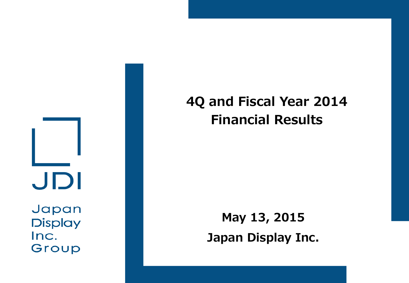JDI

Japan **Display** Inc. Group

## **4Q and Fiscal Year 2014 Financial Results**

**May 13, 2015 Japan Display Inc.**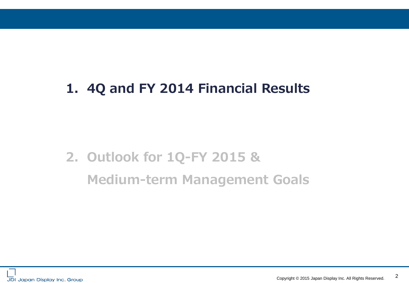## **1. 4Q and FY 2014 Financial Results**

# **2. Outlook for 1Q-FY 2015 & Medium-term Management Goals**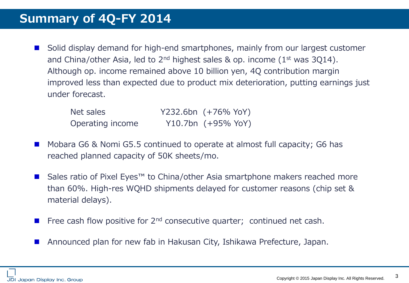■ Solid display demand for high-end smartphones, mainly from our largest customer and China/other Asia, led to  $2^{nd}$  highest sales & op. income ( $1^{st}$  was 3Q14). Although op. income remained above 10 billion yen, 4Q contribution margin improved less than expected due to product mix deterioration, putting earnings just under forecast.

| Net sales        | Y232.6bn (+76% YoY) |
|------------------|---------------------|
| Operating income | Y10.7bn (+95% YoY)  |

- Mobara G6 & Nomi G5.5 continued to operate at almost full capacity; G6 has reached planned capacity of 50K sheets/mo.
- Sales ratio of Pixel Eyes<sup>™</sup> to China/other Asia smartphone makers reached more than 60%. High-res WQHD shipments delayed for customer reasons (chip set & material delays).
- Free cash flow positive for 2<sup>nd</sup> consecutive quarter; continued net cash.
- Announced plan for new fab in Hakusan City, Ishikawa Prefecture, Japan.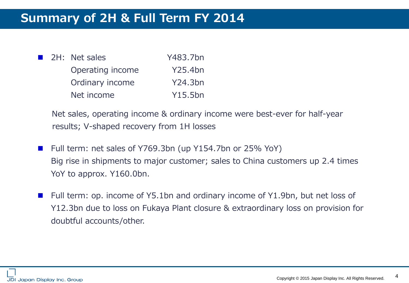| a a s | 2H: Net sales    | Y483.7bn |
|-------|------------------|----------|
|       | Operating income | Y25.4bn  |
|       | Ordinary income  | Y24.3bn  |
|       | Net income       | Y15.5bn  |

 Net sales, operating income & ordinary income were best-ever for half-year results; V-shaped recovery from 1H losses

- Full term: net sales of Y769.3bn (up Y154.7bn or 25% YoY) Big rise in shipments to major customer; sales to China customers up 2.4 times YoY to approx. Y160.0bn.
- Full term: op. income of Y5.1bn and ordinary income of Y1.9bn, but net loss of Y12.3bn due to loss on Fukaya Plant closure & extraordinary loss on provision for doubtful accounts/other.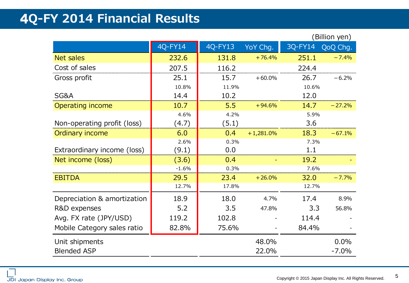## 4**Q-FY 2014 Financial Results**

|                             |         |         |             |         | (Billion yen) |
|-----------------------------|---------|---------|-------------|---------|---------------|
|                             | 4Q-FY14 | 4Q-FY13 | YoY Chg.    | 3Q-FY14 | QoQ Chg.      |
| <b>Net sales</b>            | 232.6   | 131.8   | $+76.4%$    | 251.1   | $-7.4%$       |
| Cost of sales               | 207.5   | 116.2   |             | 224.4   |               |
| Gross profit                | 25.1    | 15.7    | $+60.0%$    | 26.7    | $-6.2%$       |
|                             | 10.8%   | 11.9%   |             | 10.6%   |               |
| SG&A                        | 14.4    | 10.2    |             | 12.0    |               |
| Operating income            | 10.7    | 5.5     | $+94.6%$    | 14.7    | $-27.2%$      |
|                             | 4.6%    | 4.2%    |             | 5.9%    |               |
| Non-operating profit (loss) | (4.7)   | (5.1)   |             | 3.6     |               |
| Ordinary income             | 6.0     | 0.4     | $+1,281.0%$ | 18.3    | $-67.1%$      |
|                             | 2.6%    | 0.3%    |             | 7.3%    |               |
| Extraordinary income (loss) | (9.1)   | 0.0     |             | 1.1     |               |
| Net income (loss)           | (3.6)   | 0.4     |             | 19.2    |               |
|                             | $-1.6%$ | 0.3%    |             | 7.6%    |               |
| <b>EBITDA</b>               | 29.5    | 23.4    | $+26.0%$    | 32.0    | $-7.7%$       |
|                             | 12.7%   | 17.8%   |             | 12.7%   |               |
| Depreciation & amortization | 18.9    | 18.0    | 4.7%        | 17.4    | 8.9%          |
| R&D expenses                | 5.2     | 3.5     | 47.8%       | 3.3     | 56.8%         |
| Avg. FX rate (JPY/USD)      | 119.2   | 102.8   |             | 114.4   |               |
| Mobile Category sales ratio | 82.8%   | 75.6%   |             | 84.4%   |               |
| Unit shipments              |         |         | 48.0%       |         | 0.0%          |
| <b>Blended ASP</b>          |         |         | 22.0%       |         | $-7.0%$       |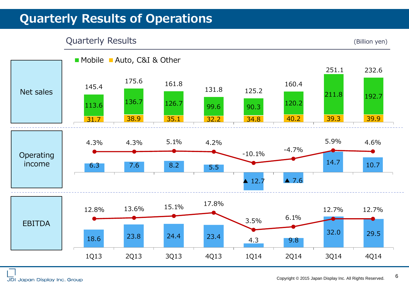## **Quarterly Results of Operations**

#### Quarterly Results (Billion yen)

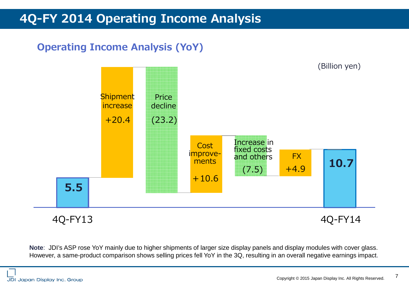## **4Q-FY 2014 Operating Income Analysis**

### **Operating Income Analysis (YoY)**



**Note**: JDI's ASP rose YoY mainly due to higher shipments of larger size display panels and display modules with cover glass. However, a same-product comparison shows selling prices fell YoY in the 3Q, resulting in an overall negative earnings impact.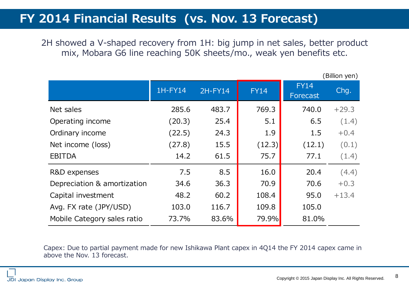### **FY 2014 Financial Results (vs. Nov. 13 Forecast)**

2H showed a V-shaped recovery from 1H: big jump in net sales, better product mix, Mobara G6 line reaching 50K sheets/mo., weak yen benefits etc.

|                             |         |         |             |                         | (Billion yen) |
|-----------------------------|---------|---------|-------------|-------------------------|---------------|
|                             | 1H-FY14 | 2H-FY14 | <b>FY14</b> | <b>FY14</b><br>Forecast | Chq.          |
| Net sales                   | 285.6   | 483.7   | 769.3       | 740.0                   | $+29.3$       |
| Operating income            | (20.3)  | 25.4    | 5.1         | 6.5                     | (1.4)         |
| Ordinary income             | (22.5)  | 24.3    | 1.9         | 1.5                     | $+0.4$        |
| Net income (loss)           | (27.8)  | 15.5    | (12.3)      | (12.1)                  | (0.1)         |
| <b>EBITDA</b>               | 14.2    | 61.5    | 75.7        | 77.1                    | (1.4)         |
| R&D expenses                | 7.5     | 8.5     | 16.0        | 20.4                    | (4.4)         |
| Depreciation & amortization | 34.6    | 36.3    | 70.9        | 70.6                    | $+0.3$        |
| Capital investment          | 48.2    | 60.2    | 108.4       | 95.0                    | $+13.4$       |
| Avg. FX rate (JPY/USD)      | 103.0   | 116.7   | 109.8       | 105.0                   |               |
| Mobile Category sales ratio | 73.7%   | 83.6%   | 79.9%       | 81.0%                   |               |

Capex: Due to partial payment made for new Ishikawa Plant capex in 4Q14 the FY 2014 capex came in above the Nov. 13 forecast.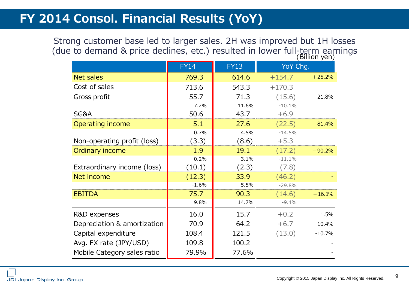## **FY 2014 Consol. Financial Results (YoY)**

Strong customer base led to larger sales. 2H was improved but 1H losses (due to demand & price declines, etc.) resulted in lower full-term earnings

|                             |             |             |          | Billion yen) |
|-----------------------------|-------------|-------------|----------|--------------|
|                             | <b>FY14</b> | <b>FY13</b> | YoY Chg. |              |
| Net sales                   | 769.3       | 614.6       | $+154.7$ | $+25.2%$     |
| Cost of sales               | 713.6       | 543.3       | $+170.3$ |              |
| Gross profit                | 55.7        | 71.3        | (15.6)   | $-21.8%$     |
|                             | 7.2%        | 11.6%       | $-10.1%$ |              |
| SG&A                        | 50.6        | 43.7        | $+6.9$   |              |
| Operating income            | 5.1         | 27.6        | (22.5)   | $-81.4%$     |
|                             | 0.7%        | 4.5%        | $-14.5%$ |              |
| Non-operating profit (loss) | (3.3)       | (8.6)       | $+5.3$   |              |
| Ordinary income             | 1.9         | 19.1        | (17.2)   | $-90.2%$     |
|                             | 0.2%        | 3.1%        | $-11.1%$ |              |
| Extraordinary income (loss) | (10.1)      | (2.3)       | (7.8)    |              |
| Net income                  | (12.3)      | 33.9        | (46.2)   |              |
|                             | $-1.6%$     | 5.5%        | $-29.8%$ |              |
| <b>EBITDA</b>               | 75.7        | 90.3        | (14.6)   | $-16.1%$     |
|                             | 9.8%        | 14.7%       | $-9.4%$  |              |
| R&D expenses                | 16.0        | 15.7        | $+0.2$   | 1.5%         |
| Depreciation & amortization | 70.9        | 64.2        | $+6.7$   | 10.4%        |
| Capital expenditure         | 108.4       | 121.5       | (13.0)   | $-10.7%$     |
| Avg. FX rate (JPY/USD)      | 109.8       | 100.2       |          |              |
| Mobile Category sales ratio | 79.9%       | 77.6%       |          |              |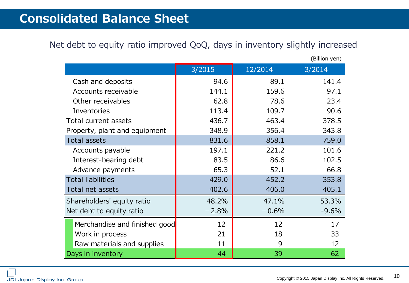### **Consolidated Balance Sheet**

#### Net debt to equity ratio improved QoQ, days in inventory slightly increased

|                               |         |         | (Billion yen) |
|-------------------------------|---------|---------|---------------|
|                               | 3/2015  | 12/2014 | 3/2014        |
| Cash and deposits             | 94.6    | 89.1    | 141.4         |
| Accounts receivable           | 144.1   | 159.6   | 97.1          |
| Other receivables             | 62.8    | 78.6    | 23.4          |
| Inventories                   | 113.4   | 109.7   | 90.6          |
| Total current assets          | 436.7   | 463.4   | 378.5         |
| Property, plant and equipment | 348.9   | 356.4   | 343.8         |
| <b>Total assets</b>           | 831.6   | 858.1   | 759.0         |
| Accounts payable              | 197.1   | 221.2   | 101.6         |
| Interest-bearing debt         | 83.5    | 86.6    | 102.5         |
| Advance payments              | 65.3    | 52.1    | 66.8          |
| <b>Total liabilities</b>      | 429.0   | 452.2   | 353.8         |
| Total net assets              | 402.6   | 406.0   | 405.1         |
| Shareholders' equity ratio    | 48.2%   | 47.1%   | 53.3%         |
| Net debt to equity ratio      | $-2.8%$ | $-0.6%$ | $-9.6%$       |
| Merchandise and finished good | 12      | 12      | 17            |
| Work in process               | 21      | 18      | 33            |
| Raw materials and supplies    | 11      | 9       | 12            |
| Days in inventory             | 44      | 39      | 62            |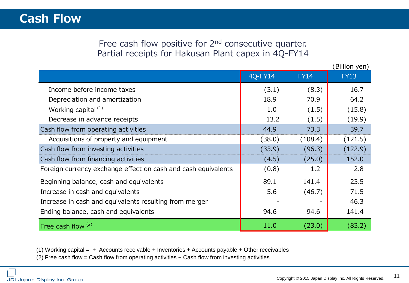#### Free cash flow positive for 2<sup>nd</sup> consecutive quarter. Partial receipts for Hakusan Plant capex in 4Q-FY14

|                                                               |         |             | (Billion yen) |
|---------------------------------------------------------------|---------|-------------|---------------|
|                                                               | 4Q-FY14 | <b>FY14</b> | <b>FY13</b>   |
| Income before income taxes                                    | (3.1)   | (8.3)       | 16.7          |
| Depreciation and amortization                                 | 18.9    | 70.9        | 64.2          |
| Working capital <sup>(1)</sup>                                | 1.0     | (1.5)       | (15.8)        |
| Decrease in advance receipts                                  | 13.2    | (1.5)       | (19.9)        |
| Cash flow from operating activities                           | 44.9    | 73.3        | 39.7          |
| Acquisitions of property and equipment                        | (38.0)  | (108.4)     | (121.5)       |
| Cash flow from investing activities                           | (33.9)  | (96.3)      | (122.9)       |
| Cash flow from financing activities                           | (4.5)   | (25.0)      | 152.0         |
| Foreign currency exchange effect on cash and cash equivalents | (0.8)   | 1.2         | 2.8           |
| Beginning balance, cash and equivalents                       | 89.1    | 141.4       | 23.5          |
| Increase in cash and equivalents                              | 5.6     | (46.7)      | 71.5          |
| Increase in cash and equivalents resulting from merger        |         |             | 46.3          |
| Ending balance, cash and equivalents                          | 94.6    | 94.6        | 141.4         |
| Free cash flow $(2)$                                          | 11.0    | (23.0)      | (83.2)        |

(1) Working capital =  $+$  Accounts receivable + Inventories + Accounts payable + Other receivables (2) Free cash flow = Cash flow from operating activities + Cash flow from investing activities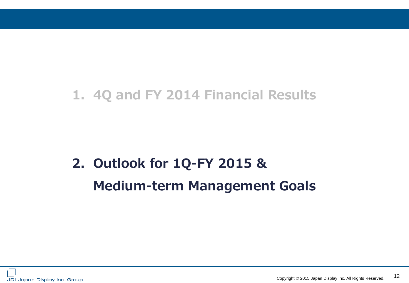## **1. 4Q and FY 2014 Financial Results**

## **2. Outlook for 1Q-FY 2015 & Medium-term Management Goals**

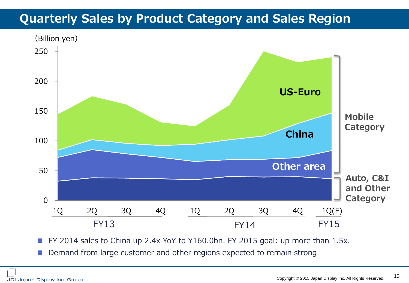## **Quarterly Sales by Product Category and Sales Region**



FY 2014 sales to China up 2.4x YoY to Y160.0bn. FY 2015 goal: up more than 1.5x.

Demand from large customer and other regions expected to remain strong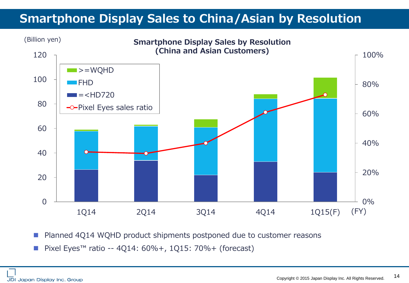## **Smartphone Display Sales to China/Asian by Resolution**



Planned 4Q14 WQHD product shipments postponed due to customer reasons

■ Pixel Eyes<sup>™</sup> ratio -- 4Q14: 60%+, 1Q15: 70%+ (forecast)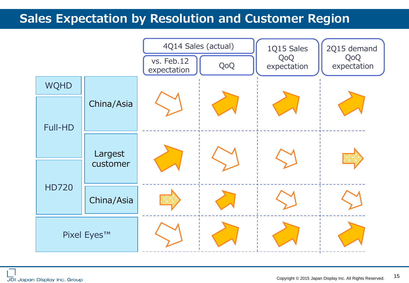## **Sales Expectation by Resolution and Customer Region**

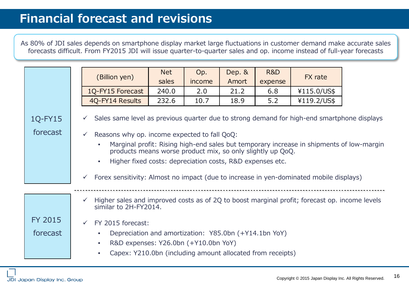## **Financial forecast and revisions**

As 80% of JDI sales depends on smartphone display market large fluctuations in customer demand make accurate sales forecasts difficult. From FY2015 JDI will issue quarter-to-quarter sales and op. income instead of full-year forecasts

|                            | (Billion yen)                                                                                                                                                                                                                                                                                                                              | Net<br>sales | Op.<br>income | Dep. &<br>Amort | <b>R&amp;D</b><br>expense | FX rate     |  |
|----------------------------|--------------------------------------------------------------------------------------------------------------------------------------------------------------------------------------------------------------------------------------------------------------------------------------------------------------------------------------------|--------------|---------------|-----------------|---------------------------|-------------|--|
|                            | 1Q-FY15 Forecast                                                                                                                                                                                                                                                                                                                           | 240.0        | 2.0           | 21.2            | 6.8                       | ¥115.0/US\$ |  |
|                            | 4Q-FY14 Results                                                                                                                                                                                                                                                                                                                            | 232.6        | 10.7          | 18.9            | 5.2                       | ¥119.2/US\$ |  |
| 1Q-FY15<br>forecast        | Sales same level as previous quarter due to strong demand for high-end smartphone displays<br>$\checkmark$<br>Reasons why op. income expected to fall QoQ:                                                                                                                                                                                 |              |               |                 |                           |             |  |
|                            | Marginal profit: Rising high-end sales but temporary increase in shipments of low-margin<br>products means worse product mix, so only slightly up QoQ.<br>Higher fixed costs: depreciation costs, R&D expenses etc.<br>$\bullet$<br>Forex sensitivity: Almost no impact (due to increase in yen-dominated mobile displays)<br>$\checkmark$ |              |               |                 |                           |             |  |
|                            | Higher sales and improved costs as of 2Q to boost marginal profit; forecast op. income levels<br>$\checkmark$<br>similar to 2H-FY2014.                                                                                                                                                                                                     |              |               |                 |                           |             |  |
| <b>FY 2015</b><br>forecast | FY 2015 forecast:<br>Depreciation and amortization: Y85.0bn (+Y14.1bn YoY)<br>R&D expenses: Y26.0bn (+Y10.0bn YoY)<br>Capex: Y210.0bn (including amount allocated from receipts)                                                                                                                                                           |              |               |                 |                           |             |  |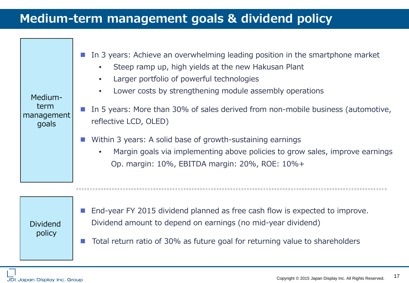## **Medium-term management goals & dividend policy**

| Medium-<br>term<br>management<br>goals | In 3 years: Achieve an overwhelming leading position in the smartphone market<br>Steep ramp up, high yields at the new Hakusan Plant<br>Larger portfolio of powerful technologies<br>Lower costs by strengthening module assembly operations<br>$\bullet$<br>In 5 years: More than 30% of sales derived from non-mobile business (automotive,<br>reflective LCD, OLED)<br>Within 3 years: A solid base of growth-sustaining earnings<br>Margin goals via implementing above policies to grow sales, improve earnings<br>Op. margin: 10%, EBITDA margin: 20%, ROE: 10%+ |
|----------------------------------------|------------------------------------------------------------------------------------------------------------------------------------------------------------------------------------------------------------------------------------------------------------------------------------------------------------------------------------------------------------------------------------------------------------------------------------------------------------------------------------------------------------------------------------------------------------------------|
|                                        |                                                                                                                                                                                                                                                                                                                                                                                                                                                                                                                                                                        |

Dividend policy

- End-year FY 2015 dividend planned as free cash flow is expected to improve. Dividend amount to depend on earnings (no mid-year dividend)
- Total return ratio of 30% as future goal for returning value to shareholders